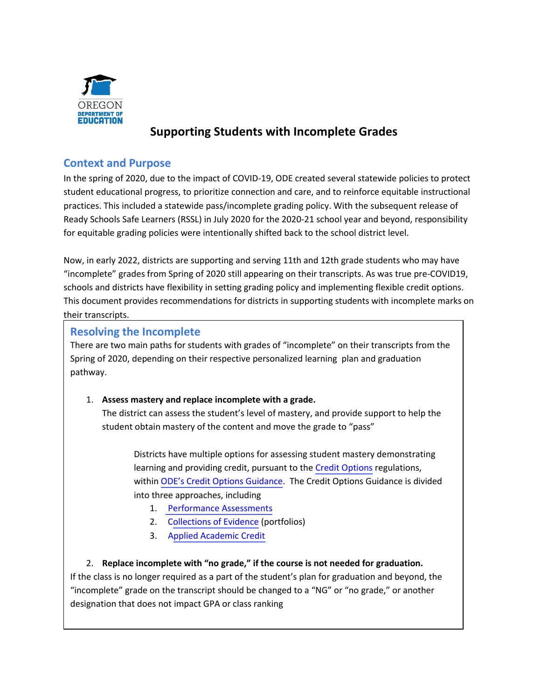

# **Supporting Students with Incomplete Grades**

### **Context and Purpose**

 In the spring of 2020, due to the impact of COVID-19, ODE created several statewide policies to protect student educational progress, to prioritize connection and care, and to reinforce equitable instructional practices. This included a statewide pass/incomplete grading policy. With the subsequent release of Ready Schools Safe Learners (RSSL) in July 2020 for the 2020-21 school year and beyond, responsibility for equitable grading policies were intentionally shifted back to the school district level.

 Now, in early 2022, districts are supporting and serving 11th and 12th grade students who may have "incomplete" grades from Spring of 2020 still appearing on their transcripts. As was true pre-COVID19, schools and districts have flexibility in setting grading policy and implementing flexible credit options. This document provides recommendations for districts in supporting students with incomplete marks on their transcripts.

#### **Resolving the Incomplete**

There are two main paths for students with grades of "incomplete" on their transcripts from the Spring of 2020, depending on their respective personalized learning plan and graduation pathway.

#### 1. **Assess mastery and replace incomplete with a grade.**

 student obtain mastery of the content and move the grade to "pass" The district can assess the student's level of mastery, and provide support to help the

Districts have multiple options for assessing student mastery demonstrating learning and providing credit, pursuant to the [Credit Options](https://secure.sos.state.or.us/oard/viewSingleRule.action?ruleVrsnRsn=145206) regulations, within [ODE's Credit Options Guidance](https://www.oregon.gov/ode/students-and-family/OregonDiploma/Pages/Credit-Options.aspx). The Credit Options Guidance is divided into three approaches, including

- 1. [Performance Assessments](https://www.oregon.gov/ode/students-and-family/OregonDiploma/Documents/Distance%20Learning%20for%20All%20-%20Credit%20Options-%20Performance%20Assessment.pdf)
- 2. C[ollections of Evidence](https://www.oregon.gov/ode/students-and-family/OregonDiploma/Documents/DLFA%20Credit%20Options_%20Collections%20of%20Evidence_0410.pdf) (portfolios)
- 3. A[pplied Academic Credit](https://www.oregon.gov/ode/students-and-family/OregonDiploma/Documents/Applied%20Academic%20Credit.pdf)

#### 2. **Replace incomplete with "no grade," if the course is not needed for graduation.**

 "incomplete" grade on the transcript should be changed to a "NG" or "no grade," or another If the class is no longer required as a part of the student's plan for graduation and beyond, the designation that does not impact GPA or class ranking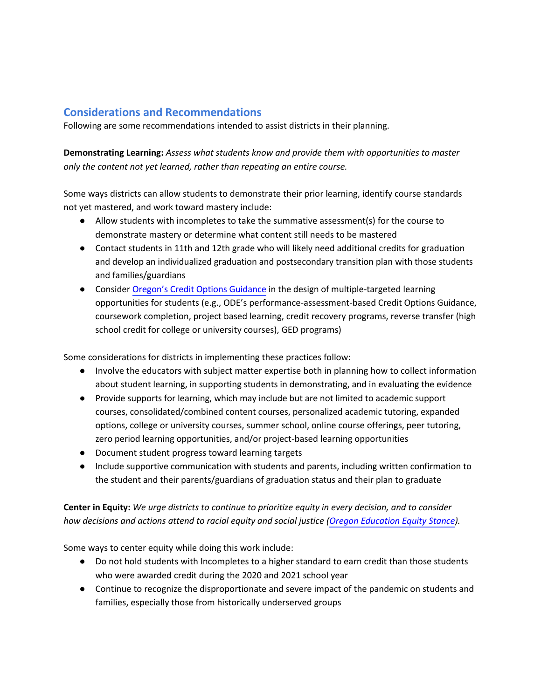## **Considerations and Recommendations**

Following are some recommendations intended to assist districts in their planning.

 **Demonstrating Learning:** *Assess what students know and provide them with opportunities to master only the content not yet learned, rather than repeating an entire course.* 

 Some ways districts can allow students to demonstrate their prior learning, identify course standards not yet mastered, and work toward mastery include:

- Allow students with incompletes to take the summative assessment(s) for the course to demonstrate mastery or determine what content still needs to be mastered
- ● Contact students in 11th and 12th grade who will likely need additional credits for graduation and develop an individualized graduation and postsecondary transition plan with those students and families/guardians
- Consider [Oregon's Credit Options Guidance](https://www.oregon.gov/ode/students-and-family/OregonDiploma/Pages/Credit-Options.aspx) in the design of multiple-targeted learning opportunities for students (e.g., ODE's performance-assessment-based Credit Options Guidance, coursework completion, project based learning, credit recovery programs, reverse transfer (high school credit for college or university courses), GED programs)

Some considerations for districts in implementing these practices follow:

- Involve the educators with subject matter expertise both in planning how to collect information about student learning, in supporting students in demonstrating, and in evaluating the evidence
- Provide supports for learning, which may include but are not limited to academic support courses, consolidated/combined content courses, personalized academic tutoring, expanded options, college or university courses, summer school, online course offerings, peer tutoring, zero period learning opportunities, and/or project-based learning opportunities
- Document student progress toward learning targets
- Include supportive communication with students and parents, including written confirmation to the student and their parents/guardians of graduation status and their plan to graduate

#### **Center in Equity:** *We urge districts to continue to prioritize equity in every decision, and to consider how decisions and actions attend to racial equity and social justice ([Oregon Education Equity Stance](https://www.oregon.gov/ode/students-and-family/equity/Pages/default.aspx)).*

Some ways to center equity while doing this work include:

- Do not hold students with Incompletes to a higher standard to earn credit than those students who were awarded credit during the 2020 and 2021 school year
- Continue to recognize the disproportionate and severe impact of the pandemic on students and families, especially those from historically underserved groups